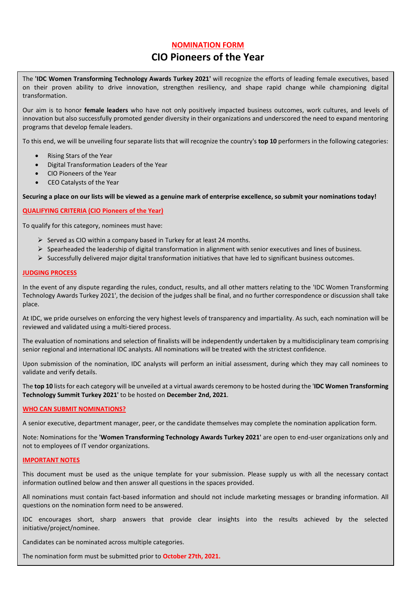## **NOMINATION FORM**

# **CIO Pioneers of the Year**

The **'IDC Women Transforming Technology Awards Turkey 2021'** will recognize the efforts of leading female executives, based on their proven ability to drive innovation, strengthen resiliency, and shape rapid change while championing digital transformation.

Our aim is to honor **female leaders** who have not only positively impacted business outcomes, work cultures, and levels of innovation but also successfully promoted gender diversity in their organizations and underscored the need to expand mentoring programs that develop female leaders.

To this end, we will be unveiling four separate lists that will recognize the country's **top 10** performers in the following categories:

- Rising Stars of the Year
- Digital Transformation Leaders of the Year
- CIO Pioneers of the Year
- CEO Catalysts of the Year

**Securing a place on our lists will be viewed as a genuine mark of enterprise excellence, so submit your nominations today!**

#### **QUALIFYING CRITERIA (CIO Pioneers of the Year)**

To qualify for this category, nominees must have:

- ➢ Served as CIO within a company based in Turkey for at least 24 months.
- $\triangleright$  Spearheaded the leadership of digital transformation in alignment with senior executives and lines of business.
- $\triangleright$  Successfully delivered major digital transformation initiatives that have led to significant business outcomes.

#### **JUDGING PROCESS**

In the event of any dispute regarding the rules, conduct, results, and all other matters relating to the 'IDC Women Transforming Technology Awards Turkey 2021', the decision of the judges shall be final, and no further correspondence or discussion shall take place.

At IDC, we pride ourselves on enforcing the very highest levels of transparency and impartiality. As such, each nomination will be reviewed and validated using a multi-tiered process.

The evaluation of nominations and selection of finalists will be independently undertaken by a multidisciplinary team comprising senior regional and international IDC analysts. All nominations will be treated with the strictest confidence.

Upon submission of the nomination, IDC analysts will perform an initial assessment, during which they may call nominees to validate and verify details.

The **top 10** lists for each category will be unveiled at a virtual awards ceremony to be hosted during the '**IDC Women Transforming Technology Summit Turkey 2021'** to be hosted on **December 2nd, 2021**.

#### **WHO CAN SUBMIT NOMINATIONS?**

A senior executive, department manager, peer, or the candidate themselves may complete the nomination application form.

Note: Nominations for the **'Women Transforming Technology Awards Turkey 2021'** are open to end-user organizations only and not to employees of IT vendor organizations.

#### **IMPORTANT NOTES**

This document must be used as the unique template for your submission. Please supply us with all the necessary contact information outlined below and then answer all questions in the spaces provided.

All nominations must contain fact-based information and should not include marketing messages or branding information. All questions on the nomination form need to be answered.

IDC encourages short, sharp answers that provide clear insights into the results achieved by the selected initiative/project/nominee.

Candidates can be nominated across multiple categories.

The nomination form must be submitted prior to **October 27th, 2021.**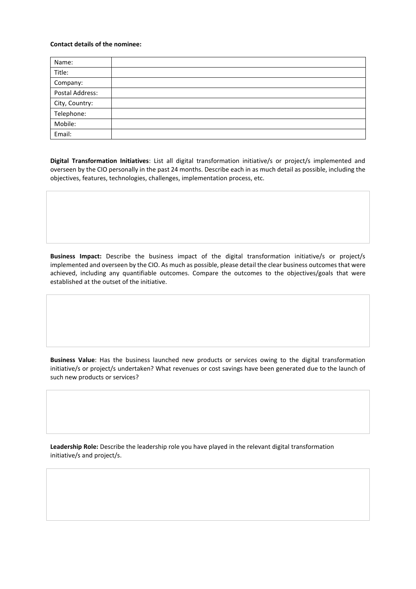#### **Contact details of the nominee:**

| Name:                        |  |
|------------------------------|--|
| Title:                       |  |
| Company:                     |  |
| Postal Address:              |  |
|                              |  |
| City, Country:<br>Telephone: |  |
| Mobile:                      |  |
| Email:                       |  |

**Digital Transformation Initiatives**: List all digital transformation initiative/s or project/s implemented and overseen by the CIO personally in the past 24 months. Describe each in as much detail as possible, including the objectives, features, technologies, challenges, implementation process, etc.

**Business Impact:** Describe the business impact of the digital transformation initiative/s or project/s implemented and overseen by the CIO. As much as possible, please detail the clear business outcomes that were achieved, including any quantifiable outcomes. Compare the outcomes to the objectives/goals that were established at the outset of the initiative.

**Business Value**: Has the business launched new products or services owing to the digital transformation initiative/s or project/s undertaken? What revenues or cost savings have been generated due to the launch of such new products or services?

**Leadership Role:** Describe the leadership role you have played in the relevant digital transformation initiative/s and project/s.